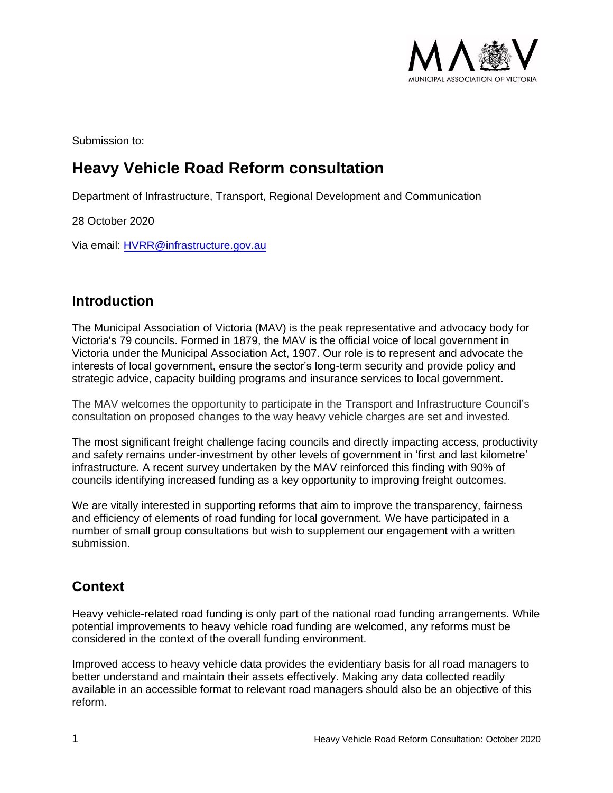

Submission to:

# **Heavy Vehicle Road Reform consultation**

Department of Infrastructure, Transport, Regional Development and Communication

28 October 2020

Via email: [HVRR@infrastructure.gov.au](mailto:HVRR@infrastructure.gov.au)

#### **Introduction**

The Municipal Association of Victoria (MAV) is the peak representative and advocacy body for Victoria's 79 councils. Formed in 1879, the MAV is the official voice of local government in Victoria under the Municipal Association Act, 1907. Our role is to represent and advocate the interests of local government, ensure the sector's long-term security and provide policy and strategic advice, capacity building programs and insurance services to local government.

The MAV welcomes the opportunity to participate in the Transport and Infrastructure Council's consultation on proposed changes to the way heavy vehicle charges are set and invested.

The most significant freight challenge facing councils and directly impacting access, productivity and safety remains under-investment by other levels of government in 'first and last kilometre' infrastructure. A recent survey undertaken by the MAV reinforced this finding with 90% of councils identifying increased funding as a key opportunity to improving freight outcomes.

We are vitally interested in supporting reforms that aim to improve the transparency, fairness and efficiency of elements of road funding for local government. We have participated in a number of small group consultations but wish to supplement our engagement with a written submission.

### **Context**

Heavy vehicle-related road funding is only part of the national road funding arrangements. While potential improvements to heavy vehicle road funding are welcomed, any reforms must be considered in the context of the overall funding environment.

Improved access to heavy vehicle data provides the evidentiary basis for all road managers to better understand and maintain their assets effectively. Making any data collected readily available in an accessible format to relevant road managers should also be an objective of this reform.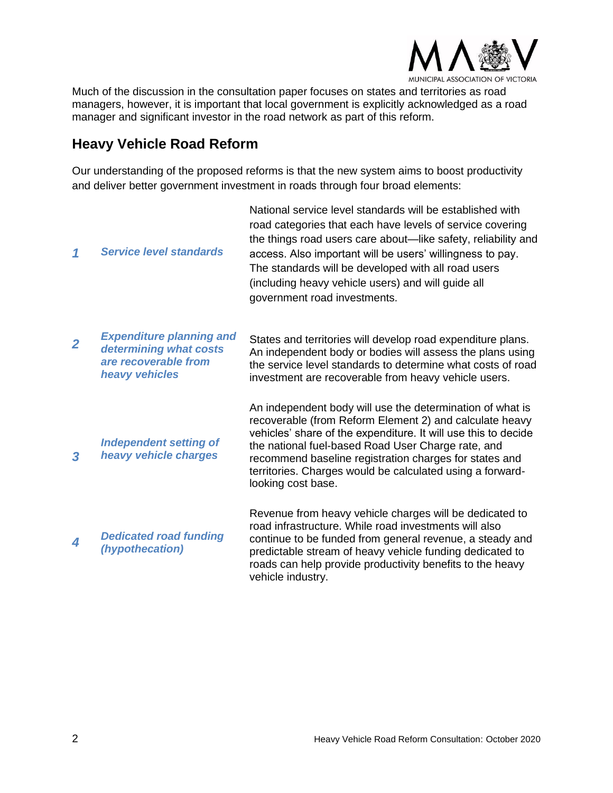

Much of the discussion in the consultation paper focuses on states and territories as road managers, however, it is important that local government is explicitly acknowledged as a road manager and significant investor in the road network as part of this reform.

# **Heavy Vehicle Road Reform**

Our understanding of the proposed reforms is that the new system aims to boost productivity and deliver better government investment in roads through four broad elements:

| 1              | <b>Service level standards</b>                                                                      | National service level standards will be established with<br>road categories that each have levels of service covering<br>the things road users care about—like safety, reliability and<br>access. Also important will be users' willingness to pay.<br>The standards will be developed with all road users<br>(including heavy vehicle users) and will guide all<br>government road investments. |
|----------------|-----------------------------------------------------------------------------------------------------|---------------------------------------------------------------------------------------------------------------------------------------------------------------------------------------------------------------------------------------------------------------------------------------------------------------------------------------------------------------------------------------------------|
| $\overline{2}$ | <b>Expenditure planning and</b><br>determining what costs<br>are recoverable from<br>heavy vehicles | States and territories will develop road expenditure plans.<br>An independent body or bodies will assess the plans using<br>the service level standards to determine what costs of road<br>investment are recoverable from heavy vehicle users.                                                                                                                                                   |
| 3              | <b>Independent setting of</b><br>heavy vehicle charges                                              | An independent body will use the determination of what is<br>recoverable (from Reform Element 2) and calculate heavy<br>vehicles' share of the expenditure. It will use this to decide<br>the national fuel-based Road User Charge rate, and<br>recommend baseline registration charges for states and<br>territories. Charges would be calculated using a forward-<br>looking cost base.         |
| 4              | <b>Dedicated road funding</b><br>(hypothecation)                                                    | Revenue from heavy vehicle charges will be dedicated to<br>road infrastructure. While road investments will also<br>continue to be funded from general revenue, a steady and<br>predictable stream of heavy vehicle funding dedicated to<br>roads can help provide productivity benefits to the heavy<br>vehicle industry.                                                                        |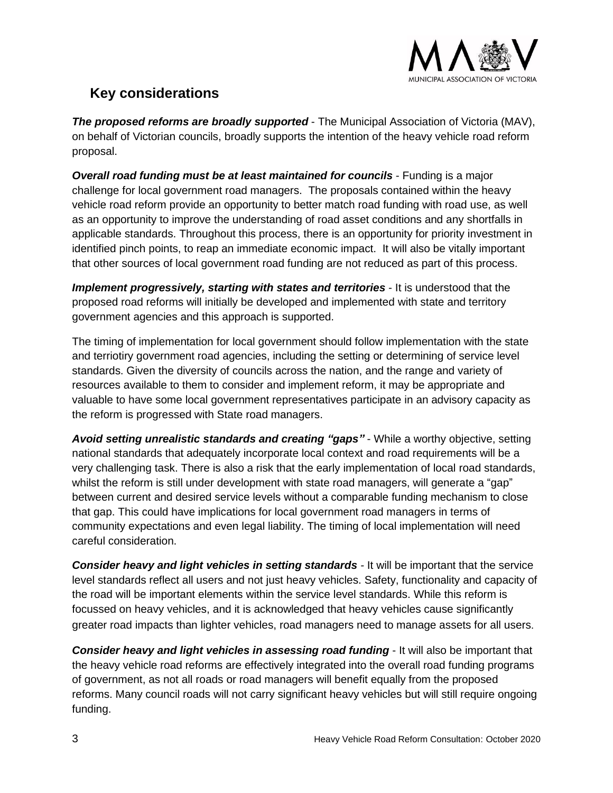

### **Key considerations**

*The proposed reforms are broadly supported* - The Municipal Association of Victoria (MAV), on behalf of Victorian councils, broadly supports the intention of the heavy vehicle road reform proposal.

*Overall road funding must be at least maintained for councils* - Funding is a major challenge for local government road managers. The proposals contained within the heavy vehicle road reform provide an opportunity to better match road funding with road use, as well as an opportunity to improve the understanding of road asset conditions and any shortfalls in applicable standards. Throughout this process, there is an opportunity for priority investment in identified pinch points, to reap an immediate economic impact. It will also be vitally important that other sources of local government road funding are not reduced as part of this process.

*Implement progressively, starting with states and territories - It is understood that the* proposed road reforms will initially be developed and implemented with state and territory government agencies and this approach is supported.

The timing of implementation for local government should follow implementation with the state and terriotiry government road agencies, including the setting or determining of service level standards. Given the diversity of councils across the nation, and the range and variety of resources available to them to consider and implement reform, it may be appropriate and valuable to have some local government representatives participate in an advisory capacity as the reform is progressed with State road managers.

*Avoid setting unrealistic standards and creating "gaps"* - While a worthy objective, setting national standards that adequately incorporate local context and road requirements will be a very challenging task. There is also a risk that the early implementation of local road standards, whilst the reform is still under development with state road managers, will generate a "gap" between current and desired service levels without a comparable funding mechanism to close that gap. This could have implications for local government road managers in terms of community expectations and even legal liability. The timing of local implementation will need careful consideration.

*Consider heavy and light vehicles in setting standards -* It will be important that the service level standards reflect all users and not just heavy vehicles. Safety, functionality and capacity of the road will be important elements within the service level standards. While this reform is focussed on heavy vehicles, and it is acknowledged that heavy vehicles cause significantly greater road impacts than lighter vehicles, road managers need to manage assets for all users.

*Consider heavy and light vehicles in assessing road funding* - It will also be important that the heavy vehicle road reforms are effectively integrated into the overall road funding programs of government, as not all roads or road managers will benefit equally from the proposed reforms. Many council roads will not carry significant heavy vehicles but will still require ongoing funding.